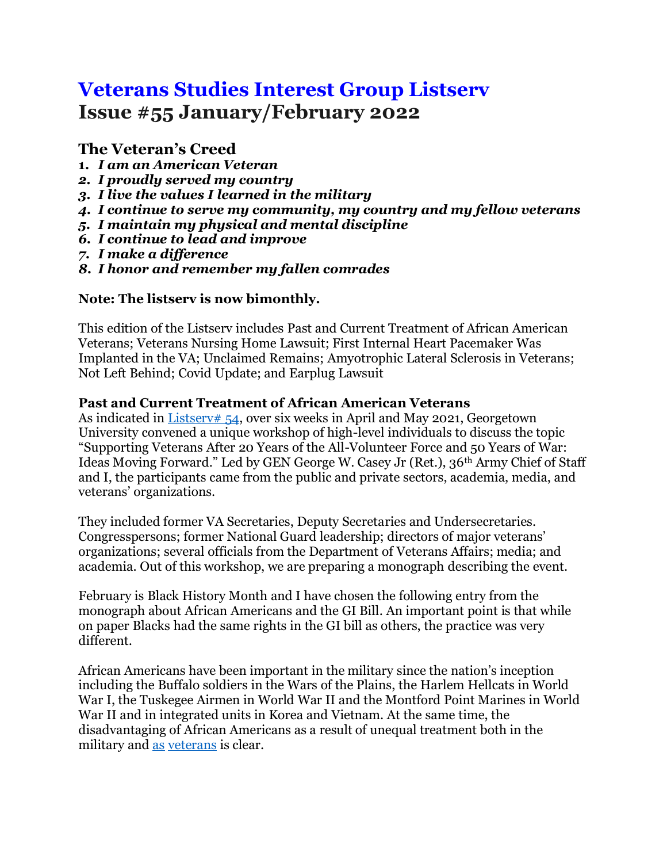# **Veterans Studies Interest Group Listserv Issue #55 January/February 2022**

## **The Veteran's Creed**

- **1.** *I am an American Veteran*
- *2. I proudly served my country*
- *3. I live the values I learned in the military*
- *4. I continue to serve my community, my country and my fellow veterans*
- *5. I maintain my physical and mental discipline*
- *6. I continue to lead and improve*
- *7. I make a difference*
- *8. I honor and remember my fallen comrades*

## **Note: The listserv is now bimonthly.**

This edition of the Listserv includes Past and Current Treatment of African American Veterans; Veterans Nursing Home Lawsuit; First Internal Heart Pacemaker Was Implanted in the VA; Unclaimed Remains; Amyotrophic Lateral Sclerosis in Veterans; Not Left Behind; Covid Update; and Earplug Lawsuit

#### **Past and Current Treatment of African American Veterans**

As indicated in [Listserv# 54,](https://repository.library.georgetown.edu/bitstream/handle/10822/1063018/Veterans%20Interest%20Newsletter%20Listserv_Issue%2054.pdf?sequence=1&isAllowed=y) over six weeks in April and May 2021, Georgetown University convened a unique workshop of high-level individuals to discuss the topic "Supporting Veterans After 20 Years of the All-Volunteer Force and 50 Years of War: Ideas Moving Forward." Led by GEN George W. Casey Jr (Ret.), 36th Army Chief of Staff and I, the participants came from the public and private sectors, academia, media, and veterans' organizations.

They included former VA Secretaries, Deputy Secretaries and Undersecretaries. Congresspersons; former National Guard leadership; directors of major veterans' organizations; several officials from the Department of Veterans Affairs; media; and academia. Out of this workshop, we are preparing a monograph describing the event.

February is Black History Month and I have chosen the following entry from the monograph about African Americans and the GI Bill. An important point is that while on paper Blacks had the same rights in the GI bill as others, the practice was very different.

African Americans have been important in the military since the nation's inception including the Buffalo soldiers in the Wars of the Plains, the Harlem Hellcats in World War I, the Tuskegee Airmen in World War II and the Montford Point Marines in World War II and in integrated units in Korea and Vietnam. At the same time, the disadvantaging of African Americans as a result of unequal treatment both in the military and [as](https://www.history.com/news/gi-bill-black-wwii-veterans-benefits#:~:text=The%20GI%20Bill) [veterans](https://www.newyorker.com/news/news-desk/the-tragic-forgotten-history-of-black-military-veterans) is clear.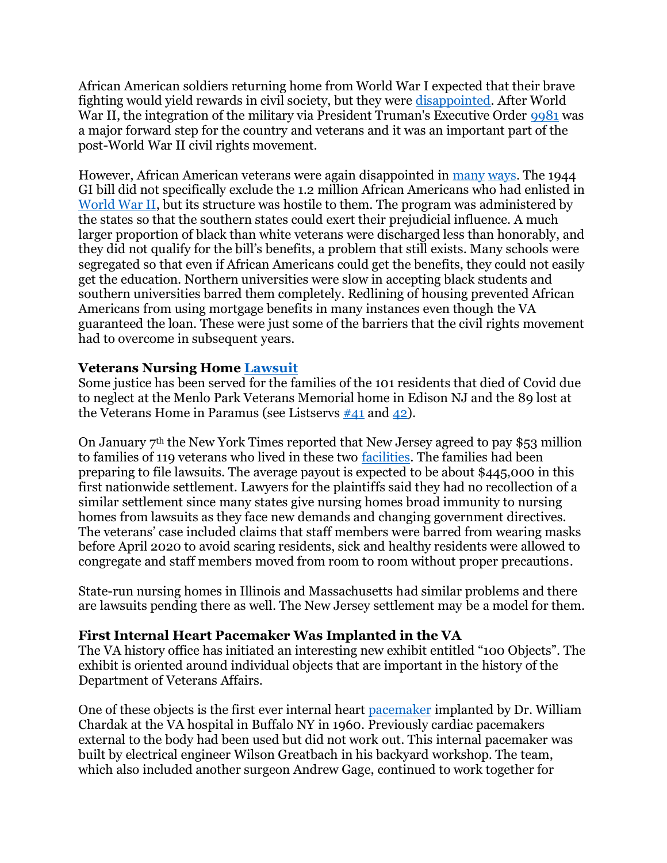African American soldiers returning home from World War I expected that their brave fighting would yield rewards in civil society, but they were **disappointed**. After World War II, the integration of the military via President Truman's Executive Order [9981](https://en.wikipedia.org/wiki/Executive_Order_9981#/media/File:Executive_Order_9981.jpg) was a major forward step for the country and veterans and it was an important part of the post-World War II civil rights movement.

However, African American veterans were again disappointed in [many](https://www.history.com/news/gi-bill-black-wwii-veterans-benefits?li_source=LI&li_medium=m2m-rcw-history) [ways.](https://www.newyorker.com/news/news-desk/the-tragic-forgotten-history-of-black-military-veterans) The 1944 GI bill did not specifically exclude the 1.2 million African Americans who had enlisted in [World War II,](https://www.newyorker.com/news/news-desk/the-tragic-forgotten-history-of-black-military-veterans) but its structure was hostile to them. The program was administered by the states so that the southern states could exert their prejudicial influence. A much larger proportion of black than white veterans were discharged less than honorably, and they did not qualify for the bill's benefits, a problem that still exists. Many schools were segregated so that even if African Americans could get the benefits, they could not easily get the education. Northern universities were slow in accepting black students and southern universities barred them completely. Redlining of housing prevented African Americans from using mortgage benefits in many instances even though the VA guaranteed the loan. These were just some of the barriers that the civil rights movement had to overcome in subsequent years.

#### **Veterans Nursing Home [Lawsuit](https://www.nytimes.com/2022/01/07/nyregion/nj-nursing-home-covid-settlement.html)**

Some justice has been served for the families of the 101 residents that died of Covid due to neglect at the Menlo Park Veterans Memorial home in Edison NJ and the 89 lost at the Veterans Home in Paramus (see Listservs  $\#41$  and  $\#42$ ).

On January 7th the New York Times reported that New Jersey agreed to pay \$53 million to families of 119 veterans who lived in these two [facilities.](https://www.nytimes.com/2022/01/07/nyregion/nj-nursing-home-COVID-19-settlement.html) The families had been preparing to file lawsuits. The average payout is expected to be about \$445,000 in this first nationwide settlement. Lawyers for the plaintiffs said they had no recollection of a similar settlement since many states give nursing homes broad immunity to nursing homes from lawsuits as they face new demands and changing government directives. The veterans' case included claims that staff members were barred from wearing masks before April 2020 to avoid scaring residents, sick and healthy residents were allowed to congregate and staff members moved from room to room without proper precautions.

State-run nursing homes in Illinois and Massachusetts had similar problems and there are lawsuits pending there as well. The New Jersey settlement may be a model for them.

#### **First Internal Heart Pacemaker Was Implanted in the VA**

The VA history office has initiated an interesting new exhibit entitled "100 Objects". The exhibit is oriented around individual objects that are important in the history of the Department of Veterans Affairs.

One of these objects is the first ever internal heart [pacemaker](https://www.va.gov/HISTORY/100_Objects/005_Cardiac_pacemaker.asp) implanted by Dr. William Chardak at the VA hospital in Buffalo NY in 1960. Previously cardiac pacemakers external to the body had been used but did not work out. This internal pacemaker was built by electrical engineer Wilson Greatbach in his backyard workshop. The team, which also included another surgeon Andrew Gage, continued to work together for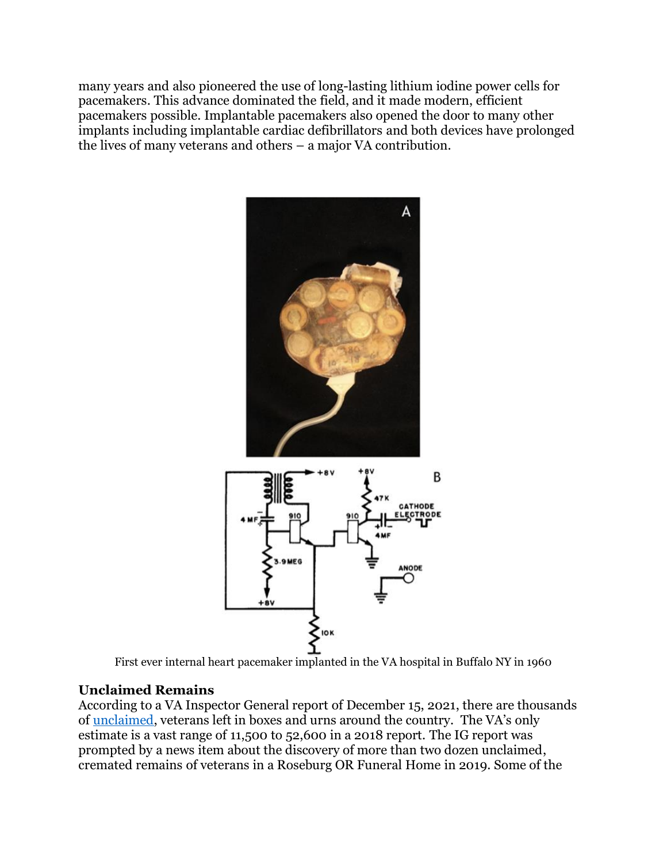many years and also pioneered the use of long-lasting lithium iodine power cells for pacemakers. This advance dominated the field, and it made modern, efficient pacemakers possible. Implantable pacemakers also opened the door to many other implants including implantable cardiac defibrillators and both devices have prolonged the lives of many veterans and others – a major VA contribution.



First ever internal heart pacemaker implanted in the VA hospital in Buffalo NY in 1960

#### **Unclaimed Remains**

According to a VA Inspector General report of December 15, 2021, there are thousands of [unclaimed,](https://www.oversight.gov/sites/default/files/oig-reports/VA/VAOIG-19-09592-262.pdf) veterans left in boxes and urns around the country. The VA's only estimate is a vast range of 11,500 to 52,600 in a 2018 report. The IG report was prompted by a news item about the discovery of more than two dozen unclaimed, cremated remains of veterans in a Roseburg OR Funeral Home in 2019. Some of the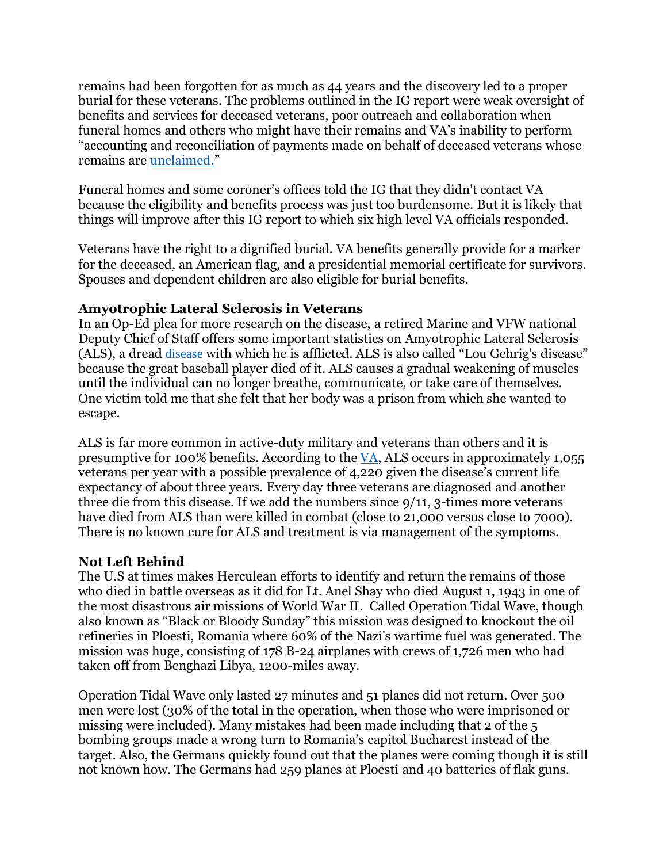remains had been forgotten for as much as 44 years and the discovery led to a proper burial for these veterans. The problems outlined in the IG report were weak oversight of benefits and services for deceased veterans, poor outreach and collaboration when funeral homes and others who might have their remains and VA's inability to perform "accounting and reconciliation of payments made on behalf of deceased veterans whose remains are [unclaimed.](https://www.washingtonpost.com/politics/2022/01/28/soldiers-unclaimed-remains-veterans-affairs-inspector-general-report/)"

Funeral homes and some coroner's offices told the IG that they didn't contact VA because the eligibility and benefits process was just too burdensome. But it is likely that things will improve after this IG report to which six high level VA officials responded.

Veterans have the right to a dignified burial. VA benefits generally provide for a marker for the deceased, an American flag, and a presidential memorial certificate for survivors. Spouses and dependent children are also eligible for burial benefits.

#### **Amyotrophic Lateral Sclerosis in Veterans**

In an Op-Ed plea for more research on the disease, a retired Marine and VFW national Deputy Chief of Staff offers some important statistics on Amyotrophic Lateral Sclerosis (ALS), a dread [disease](https://www.militarytimes.com/opinion/commentary/2021/10/28/als-is-killing-veterans/) with which he is afflicted. ALS is also called "Lou Gehrig's disease" because the great baseball player died of it. ALS causes a gradual weakening of muscles until the individual can no longer breathe, communicate, or take care of themselves. One victim told me that she felt that her body was a prison from which she wanted to escape.

ALS is far more common in active-duty military and veterans than others and it is presumptive for 100% benefits. According to th[e VA,](https://www.google.com/search?q=VA+Directive+1101.07%2C+August+21%2C2021&rlz=1C5CHFA_enUS716US727&oq=VA+Directive+1101.07%2C+August+21%2C2021&aqs=chrome..69i57j69i64.3952j0j7&sourceid=chrome&ie=UTF-8) ALS occurs in approximately 1,055 veterans per year with a possible prevalence of 4,220 given the disease's current life expectancy of about three years. Every day three veterans are diagnosed and another three die from this disease. If we add the numbers since 9/11, 3-times more veterans have died from ALS than were killed in combat (close to 21,000 versus close to 7000). There is no known cure for ALS and treatment is via management of the symptoms.

#### **Not Left Behind**

The U.S at times makes Herculean efforts to identify and return the remains of those who died in battle overseas as it did for Lt. Anel Shay who died August 1, 1943 in one of the most disastrous air missions of World War II. Called Operation Tidal Wave, though also known as "Black or Bloody Sunday" this mission was designed to knockout the oil refineries in Ploesti, Romania where 60% of the Nazi's wartime fuel was generated. The mission was huge, consisting of 178 B-24 airplanes with crews of 1,726 men who had taken off from Benghazi Libya, 1200-miles away.

Operation Tidal Wave only lasted 27 minutes and 51 planes did not return. Over 500 men were lost (30% of the total in the operation, when those who were imprisoned or missing were included). Many mistakes had been made including that 2 of the 5 bombing groups made a wrong turn to Romania's capitol Bucharest instead of the target. Also, the Germans quickly found out that the planes were coming though it is still not known how. The Germans had 259 planes at Ploesti and 40 batteries of flak guns.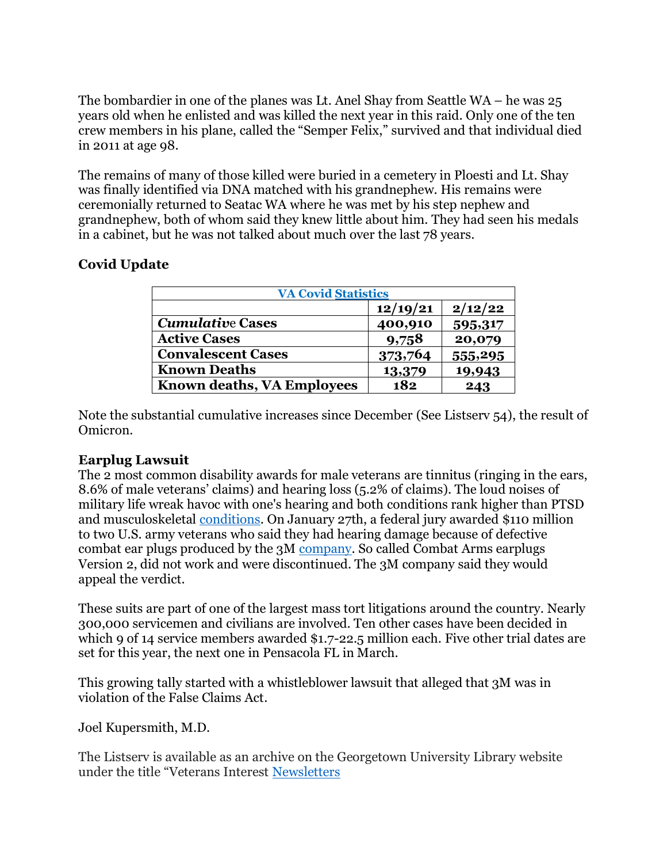The bombardier in one of the planes was Lt. Anel Shay from Seattle WA – he was 25 years old when he enlisted and was killed the next year in this raid. Only one of the ten crew members in his plane, called the "Semper Felix," survived and that individual died in 2011 at age 98.

The remains of many of those killed were buried in a cemetery in Ploesti and Lt. Shay was finally identified via DNA matched with his grandnephew. His remains were ceremonially returned to Seatac WA where he was met by his step nephew and grandnephew, both of whom said they knew little about him. They had seen his medals in a cabinet, but he was not talked about much over the last 78 years.

## **Covid Update**

| <b>VA Covid Statistics</b>        |          |         |
|-----------------------------------|----------|---------|
|                                   | 12/19/21 | 2/12/22 |
| <b>Cumulative Cases</b>           | 400,910  | 595,317 |
| <b>Active Cases</b>               | 9,758    | 20,079  |
| <b>Convalescent Cases</b>         | 373,764  | 555,295 |
| <b>Known Deaths</b>               | 13,379   | 19,943  |
| <b>Known deaths, VA Employees</b> | 182      | 243     |

Note the substantial cumulative increases since December (See Listserv 54), the result of Omicron.

#### **Earplug Lawsuit**

The 2 most common disability awards for male veterans are tinnitus (ringing in the ears, 8.6% of male veterans' claims) and hearing loss (5.2% of claims). The loud noises of military life wreak havoc with one's hearing and both conditions rank higher than PTSD and musculoskeletal [conditions.](400,910%20%209,758%20%20373,764%20%2013,379%20%20182) On January 27th, a federal jury awarded \$110 million to two U.S. army veterans who said they had hearing damage because of defective combat ear plugs produced by the 3M [company.](https://www.nytimes.com/2022/01/28/us/veterans-earplugs-3m-lawsuit.html) So called Combat Arms earplugs Version 2, did not work and were discontinued. The 3M company said they would appeal the verdict.

These suits are part of one of the largest mass tort litigations around the country. Nearly 300,000 servicemen and civilians are involved. Ten other cases have been decided in which 9 of 14 service members awarded \$1.7-22.5 million each. Five other trial dates are set for this year, the next one in Pensacola FL in March.

This growing tally started with a whistleblower lawsuit that alleged that 3M was in violation of the False Claims Act.

Joel Kupersmith, M.D.

The Listserv is available as an archive on the Georgetown University Library website under the title "Veterans Interest [Newsletters](https://repository.library.georgetown.edu/handle/10822/1050313)